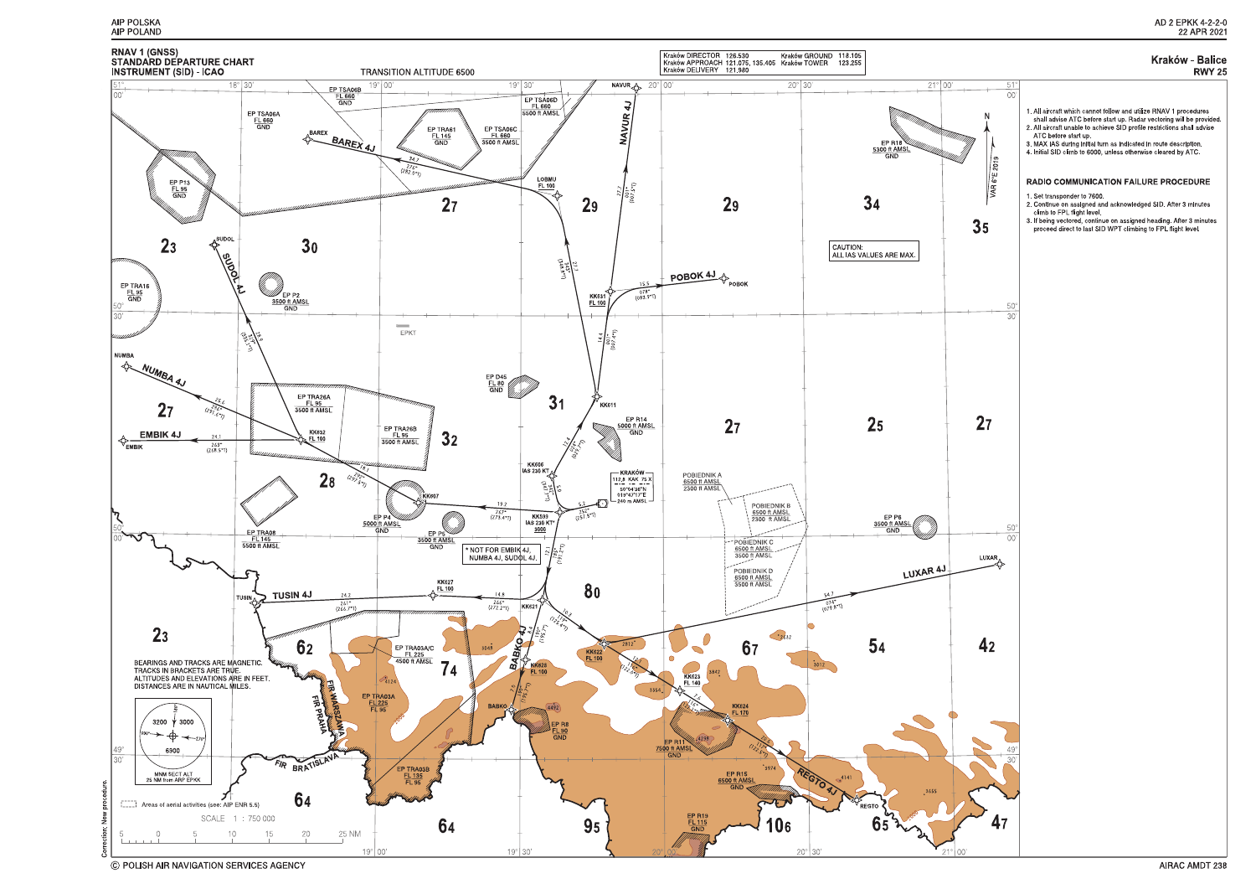



C POLISH AIR NAVIGATION SERVICES AGENCY

# **RWY 25**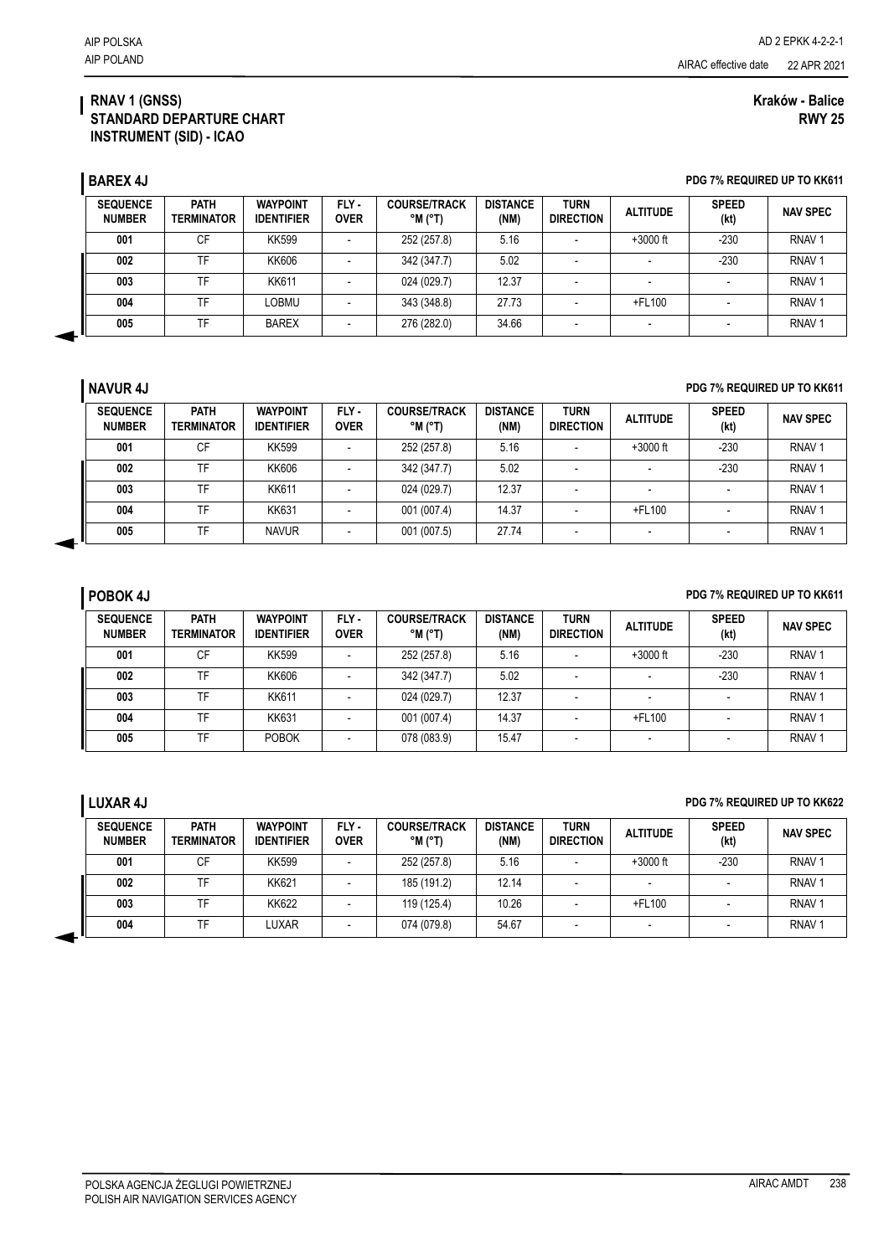### **RNAV 1 (GNSS) STANDARD DEPARTURE CHART INSTRUMENT (SID) - ICAO**

### **Kraków - Balice RWY 25**

**BAREX 4J PDG 7% REQUIRED UP TO KK611** 

| <b>SEQUENCE</b><br><b>NUMBER</b> | <b>PATH</b><br><b>TERMINATOR</b> | <b>WAYPOINT</b><br><b>IDENTIFIER</b> | FLY-<br><b>OVER</b>      | <b>COURSE/TRACK</b><br>$^{\circ}$ M $^{\circ}$ T) | <b>DISTANCE</b><br>(NM) | <b>TURN</b><br><b>DIRECTION</b> | <b>ALTITUDE</b> | <b>SPEED</b><br>(kt) | <b>NAV SPEC</b>   |
|----------------------------------|----------------------------------|--------------------------------------|--------------------------|---------------------------------------------------|-------------------------|---------------------------------|-----------------|----------------------|-------------------|
| 001                              | СF                               | <b>KK599</b>                         |                          | 252 (257.8)                                       | 5.16                    | $\overline{\phantom{a}}$        | $+3000$ ft      | -230                 | RNAV <sub>1</sub> |
| 002                              | TF                               | KK606                                | -                        | 342 (347.7)                                       | 5.02                    | $\overline{\phantom{0}}$        |                 | $-230$               | RNAV <sup></sup>  |
| 003                              | ΓF                               | <b>KK611</b>                         |                          | 024 (029.7)                                       | 12.37                   |                                 |                 |                      | RNAV <sub>1</sub> |
| 004                              | TF                               | _OBMU                                | -                        | 343 (348.8)                                       | 27.73                   | $\overline{\phantom{a}}$        | +FL100          |                      | RNAV <sub>1</sub> |
| 005                              | TF                               | <b>BAREX</b>                         | $\overline{\phantom{0}}$ | 276 (282.0)                                       | 34.66                   | $\overline{\phantom{a}}$        | -               |                      | RNAV <sub>1</sub> |

### **NAVUR 4J PDG 7% REQUIRED UP TO KK611**

| <b>SEQUENCE</b><br><b>NUMBER</b> | <b>PATH</b><br>TERMINATOR | <b>WAYPOINT</b><br><b>IDENTIFIER</b> | FLY-<br><b>OVER</b> | <b>COURSE/TRACK</b><br>$^{\circ}$ M $^{\circ}$ T) | <b>DISTANCE</b><br>(NM) | <b>TURN</b><br><b>DIRECTION</b> | <b>ALTITUDE</b> | <b>SPEED</b><br>(kt) | <b>NAV SPEC</b>   |
|----------------------------------|---------------------------|--------------------------------------|---------------------|---------------------------------------------------|-------------------------|---------------------------------|-----------------|----------------------|-------------------|
| 001                              | CF                        | <b>KK599</b>                         |                     | 252 (257.8)                                       | 5.16                    |                                 | $+3000$ ft      | $-230$               | RNAV <sub>1</sub> |
| 002                              | TF                        | KK606                                |                     | 342 (347.7)                                       | 5.02                    | -                               |                 | $-230$               | RNAV <sub>1</sub> |
| 003                              | TF                        | KK611                                | -                   | 024 (029.7)                                       | 12.37                   | -                               | -               |                      | RNAV <sub>1</sub> |
| 004                              | TF                        | <b>KK631</b>                         |                     | 001 (007.4)                                       | 14.37                   |                                 | +FL100          |                      | RNAV <sub>1</sub> |
| 005                              | TF                        | <b>NAVUR</b>                         | -                   | 001 (007.5)                                       | 27.74                   |                                 | -               |                      | RNAV <sub>1</sub> |

### **POBOK 4J POBOK 4J POBOK 4J PDG 7% REQUIRED UP TO KK611**

| <b>SEQUENCE</b><br><b>NUMBER</b> | <b>PATH</b><br><b>TERMINATOR</b> | <b>WAYPOINT</b><br><b>IDENTIFIER</b> | FLY-<br><b>OVER</b> | <b>COURSE/TRACK</b><br>$^{\circ}$ M ( $^{\circ}$ T) | <b>DISTANCE</b><br>(NM) | <b>TURN</b><br><b>DIRECTION</b> | <b>ALTITUDE</b>          | <b>SPEED</b><br>(kt) | <b>NAV SPEC</b>   |
|----------------------------------|----------------------------------|--------------------------------------|---------------------|-----------------------------------------------------|-------------------------|---------------------------------|--------------------------|----------------------|-------------------|
| 001                              | СF                               | <b>KK599</b>                         |                     | 252 (257.8)                                         | 5.16                    |                                 | $+3000$ ft               | $-230$               | RNAV <sub>1</sub> |
| 002                              | TF                               | KK606                                |                     | 342 (347.7)                                         | 5.02                    |                                 |                          | $-230$               | RNAV <sub>1</sub> |
| 003                              | TF                               | <b>KK611</b>                         |                     | 024 (029.7)                                         | 12.37                   |                                 |                          |                      | RNAV <sub>1</sub> |
| 004                              | TF.                              | KK631                                |                     | 001 (007.4)                                         | 14.37                   | -                               | +FL100                   |                      | RNAV <sub>1</sub> |
| 005                              | TF                               | POBOK                                |                     | 078 (083.9)                                         | 15.47                   |                                 | $\overline{\phantom{a}}$ |                      | RNAV <sub>1</sub> |

## **LUXAR 4J PDG 7% REQUIRED UP TO KK622**

| <b>SEQUENCE</b><br><b>NUMBER</b> | <b>PATH</b><br>TERMINATOR | <b>WAYPOINT</b><br><b>IDENTIFIER</b> | FLY -<br><b>OVER</b> | <b>COURSE/TRACK</b><br>$^{\circ}$ M ( $^{\circ}$ T) | <b>DISTANCE</b><br>(NM) | <b>TURN</b><br><b>DIRECTION</b> | <b>ALTITUDE</b> | <b>SPEED</b><br>(kt) | <b>NAV SPEC</b>   |
|----------------------------------|---------------------------|--------------------------------------|----------------------|-----------------------------------------------------|-------------------------|---------------------------------|-----------------|----------------------|-------------------|
| 001                              | CF                        | <b>KK599</b>                         |                      | 252 (257.8)                                         | 5.16                    |                                 | $+3000$ ft      | $-230$               | RNAV <sub>1</sub> |
| 002                              | <b>TF</b>                 | <b>KK621</b>                         |                      | 185 (191.2)                                         | 12.14                   |                                 |                 |                      | RNAV <sub>1</sub> |
| 003                              | <b>TF</b>                 | <b>KK622</b>                         |                      | 119 (125.4)                                         | 10.26                   |                                 | +FL100          |                      | RNAV <sub>1</sub> |
| 004                              | <b>TF</b>                 | LUXAR                                |                      | 074 (079.8)                                         | 54.67                   |                                 |                 |                      | RNAV <sub>1</sub> |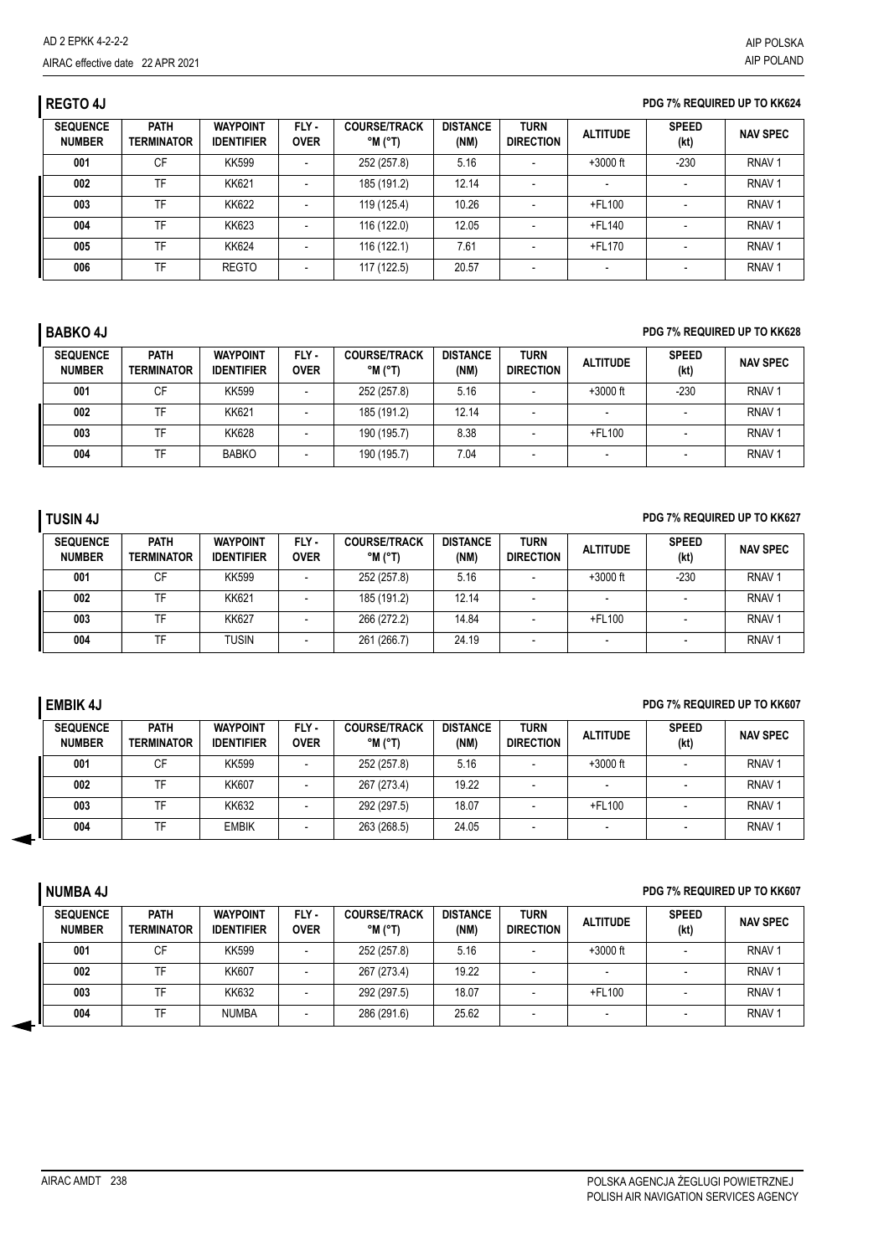# **REGTO 4J PDG 7% REQUIRED UP TO KK624**

| <b>SEQUENCE</b><br><b>NUMBER</b> | <b>PATH</b><br><b>TERMINATOR</b> | <b>WAYPOINT</b><br><b>IDENTIFIER</b> | FLY-<br><b>OVER</b> | <b>COURSE/TRACK</b><br>$^{\circ}$ M $^{\circ}$ T) | <b>DISTANCE</b><br>(NM) | <b>TURN</b><br><b>DIRECTION</b> | <b>ALTITUDE</b>          | <b>SPEED</b><br>(kt) | <b>NAV SPEC</b>   |
|----------------------------------|----------------------------------|--------------------------------------|---------------------|---------------------------------------------------|-------------------------|---------------------------------|--------------------------|----------------------|-------------------|
| 001                              | <b>CF</b>                        | <b>KK599</b>                         |                     | 252 (257.8)                                       | 5.16                    |                                 | $+3000$ ft               | $-230$               | RNAV <sub>1</sub> |
| 002                              | TF                               | <b>KK621</b>                         |                     | 185 (191.2)                                       | 12.14                   |                                 |                          |                      | RNAV <sub>1</sub> |
| 003                              | TF                               | <b>KK622</b>                         |                     | 119 (125.4)                                       | 10.26                   | $\overline{\phantom{a}}$        | +FL100                   |                      | RNAV <sub>1</sub> |
| 004                              | TF                               | <b>KK623</b>                         |                     | 116 (122.0)                                       | 12.05                   |                                 | +FL140                   |                      | RNAV <sub>1</sub> |
| 005                              | TF                               | KK624                                |                     | 116 (122.1)                                       | 7.61                    |                                 | +FL170                   |                      | RNAV <sub>1</sub> |
| 006                              | <b>TF</b>                        | <b>REGTO</b>                         |                     | 117 (122.5)                                       | 20.57                   |                                 | $\overline{\phantom{a}}$ |                      | RNAV <sub>1</sub> |

# **BABKO 4J PDG 7% REQUIRED UP TO KK628**

| <b>SEQUENCE</b><br><b>NUMBER</b> | <b>PATH</b><br><b>TERMINATOR</b> | <b>WAYPOINT</b><br><b>IDENTIFIER</b> | FLY-<br><b>OVER</b> | <b>COURSE/TRACK</b><br>$^{\circ}$ M ( $^{\circ}$ T) | <b>DISTANCE</b><br>(NM) | <b>TURN</b><br><b>DIRECTION</b> | <b>ALTITUDE</b>          | <b>SPEED</b><br>(kt) | <b>NAV SPEC</b>   |
|----------------------------------|----------------------------------|--------------------------------------|---------------------|-----------------------------------------------------|-------------------------|---------------------------------|--------------------------|----------------------|-------------------|
| 001                              | СF                               | <b>KK599</b>                         |                     | 252 (257.8)                                         | 5.16                    |                                 | $+3000$ ft               | $-230$               | RNAV <sub>1</sub> |
| 002                              | ΤF                               | <b>KK621</b>                         |                     | 185 (191.2)                                         | 12.14                   |                                 | $\overline{\phantom{a}}$ |                      | RNAV <sub>1</sub> |
| 003                              | TF                               | KK628                                |                     | 190 (195.7)                                         | 8.38                    |                                 | $+$ FL100                |                      | RNAV <sub>1</sub> |
| 004                              | ᅚ                                | <b>BABKO</b>                         |                     | 190 (195.7)                                         | 7.04                    |                                 |                          |                      | RNAV <sub>1</sub> |

# **TUSIN 4J PDG 7% REQUIRED UP TO KK627**

| <b>SEQUENCE</b><br><b>NUMBER</b> | <b>PATH</b><br><b>TERMINATOR</b> | <b>WAYPOINT</b><br><b>IDENTIFIER</b> | FLY-<br><b>OVER</b> | <b>COURSE/TRACK</b><br>$^{\circ}$ M ( $^{\circ}$ T) | <b>DISTANCE</b><br>(NM) | <b>TURN</b><br><b>DIRECTION</b> | <b>ALTITUDE</b> | <b>SPEED</b><br>(kt) | <b>NAV SPEC</b>   |
|----------------------------------|----------------------------------|--------------------------------------|---------------------|-----------------------------------------------------|-------------------------|---------------------------------|-----------------|----------------------|-------------------|
| 001                              | СF                               | KK599                                |                     | 252 (257.8)                                         | 5.16                    |                                 | $+3000$ ft      | -230                 | RNAV <sub>1</sub> |
| 002                              | TF                               | <b>KK621</b>                         |                     | 185 (191.2)                                         | 12.14                   |                                 |                 |                      | <b>RNAV</b>       |
| 003                              | TF                               | <b>KK627</b>                         |                     | 266 (272.2)                                         | 14.84                   |                                 | +FL100          |                      | RNAV <sup>-</sup> |
| 004                              | <b>TF</b>                        | Tusin                                |                     | 261 (266.7)                                         | 24.19                   |                                 |                 |                      | RNAV <sup>-</sup> |

# **EMBIK 4J PDG 7% REQUIRED UP TO KK607**

| <b>SEQUENCE</b><br><b>NUMBER</b> | <b>PATH</b><br><b>TERMINATOR</b> | <b>WAYPOINT</b><br><b>IDENTIFIER</b> | FLY-<br><b>OVER</b> | <b>COURSE/TRACK</b><br>$^{\circ}$ M ( $^{\circ}$ T) | <b>DISTANCE</b><br>(NM) | <b>TURN</b><br><b>DIRECTION</b> | <b>ALTITUDE</b> | <b>SPEED</b><br>(kt) | <b>NAV SPEC</b>   |
|----------------------------------|----------------------------------|--------------------------------------|---------------------|-----------------------------------------------------|-------------------------|---------------------------------|-----------------|----------------------|-------------------|
| 001                              | СF                               | KK599                                |                     | 252 (257.8)                                         | 5.16                    |                                 | $+3000$ ft      |                      | RNAV <sub>1</sub> |
| 002                              |                                  | <b>KK607</b>                         |                     | 267 (273.4)                                         | 19.22                   |                                 |                 |                      | RNAV <sup>-</sup> |
| 003                              |                                  | <b>KK632</b>                         |                     | 292 (297.5)                                         | 18.07                   |                                 | +FL100          |                      | RNAV <sup>-</sup> |
| 004                              |                                  | <b>EMBIK</b>                         |                     | 263 (268.5)                                         | 24.05                   |                                 | -               |                      | RNAV <sup>-</sup> |

## **NUMBA 4J PDG 7% REQUIRED UP TO KK607**

| <b>SEQUENCE</b><br><b>NUMBER</b> | <b>PATH</b><br><b>TERMINATOR</b> | <b>WAYPOINT</b><br><b>IDENTIFIER</b> | FLY-<br><b>OVER</b> | <b>COURSE/TRACK</b><br>°M (°T) | <b>DISTANCE</b><br>(NM) | TURN<br><b>DIRECTION</b> | <b>ALTITUDE</b> | <b>SPEED</b><br>(kt) | <b>NAV SPEC</b>   |
|----------------------------------|----------------------------------|--------------------------------------|---------------------|--------------------------------|-------------------------|--------------------------|-----------------|----------------------|-------------------|
| 001                              | СF                               | KK599                                |                     | 252 (257.8)                    | 5.16                    |                          | $+3000$ ft      |                      | RNAV <sub>1</sub> |
| 002                              | TF                               | <b>KK607</b>                         |                     | 267 (273.4)                    | 19.22                   |                          |                 |                      | RNAV <sub>1</sub> |
| 003                              | TF                               | <b>KK632</b>                         |                     | 292 (297.5)                    | 18.07                   |                          | $+$ FL100       |                      | RNAV <sub>1</sub> |
| 004                              | TF                               | <b>NUMBA</b>                         |                     | 286 (291.6)                    | 25.62                   |                          |                 |                      | RNAV <sub>1</sub> |